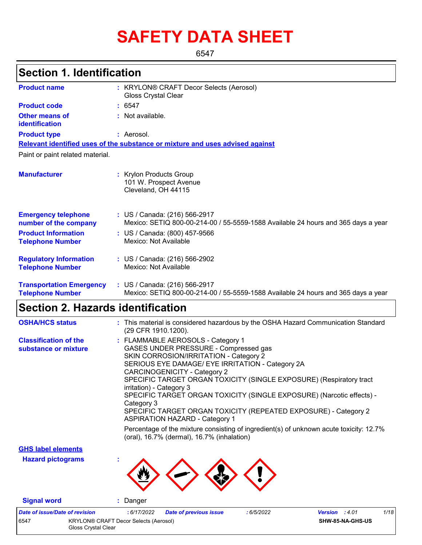# **SAFETY DATA SHEET**

6547

### **Section 1. Identification**

| <b>Product name</b>                                        | : KRYLON® CRAFT Decor Selects (Aerosol)<br><b>Gloss Crystal Clear</b>                                              |  |
|------------------------------------------------------------|--------------------------------------------------------------------------------------------------------------------|--|
| <b>Product code</b>                                        | : 6547                                                                                                             |  |
| Other means of<br>identification                           | : Not available.                                                                                                   |  |
| <b>Product type</b>                                        | : Aerosol.                                                                                                         |  |
|                                                            | Relevant identified uses of the substance or mixture and uses advised against                                      |  |
| Paint or paint related material.                           |                                                                                                                    |  |
| <b>Manufacturer</b>                                        | : Krylon Products Group<br>101 W. Prospect Avenue<br>Cleveland, OH 44115                                           |  |
| <b>Emergency telephone</b><br>number of the company        | : US / Canada: (216) 566-2917<br>Mexico: SETIQ 800-00-214-00 / 55-5559-1588 Available 24 hours and 365 days a year |  |
| <b>Product Information</b><br><b>Telephone Number</b>      | : US / Canada: (800) 457-9566<br>Mexico: Not Available                                                             |  |
| <b>Regulatory Information</b><br><b>Telephone Number</b>   | : US / Canada: (216) 566-2902<br>Mexico: Not Available                                                             |  |
| <b>Transportation Emergency</b><br><b>Telephone Number</b> | : US / Canada: (216) 566-2917<br>Mexico: SETIQ 800-00-214-00 / 55-5559-1588 Available 24 hours and 365 days a year |  |

### **Section 2. Hazards identification**

| <b>OSHA/HCS status</b>                               | : This material is considered hazardous by the OSHA Hazard Communication Standard<br>(29 CFR 1910.1200).                                                                                                                                                                                                                                                                                                                                                                                                              |
|------------------------------------------------------|-----------------------------------------------------------------------------------------------------------------------------------------------------------------------------------------------------------------------------------------------------------------------------------------------------------------------------------------------------------------------------------------------------------------------------------------------------------------------------------------------------------------------|
| <b>Classification of the</b><br>substance or mixture | : FLAMMABLE AEROSOLS - Category 1<br>GASES UNDER PRESSURE - Compressed gas<br>SKIN CORROSION/IRRITATION - Category 2<br>SERIOUS EYE DAMAGE/ EYE IRRITATION - Category 2A<br><b>CARCINOGENICITY - Category 2</b><br>SPECIFIC TARGET ORGAN TOXICITY (SINGLE EXPOSURE) (Respiratory tract<br>irritation) - Category 3<br>SPECIFIC TARGET ORGAN TOXICITY (SINGLE EXPOSURE) (Narcotic effects) -<br>Category 3<br>SPECIFIC TARGET ORGAN TOXICITY (REPEATED EXPOSURE) - Category 2<br><b>ASPIRATION HAZARD - Category 1</b> |
|                                                      | Percentage of the mixture consisting of ingredient(s) of unknown acute toxicity: 12.7%<br>(oral), 16.7% (dermal), 16.7% (inhalation)                                                                                                                                                                                                                                                                                                                                                                                  |
| <b>GHS label elements</b>                            |                                                                                                                                                                                                                                                                                                                                                                                                                                                                                                                       |
| <b>Hazard pictograms</b>                             |                                                                                                                                                                                                                                                                                                                                                                                                                                                                                                                       |

**Signal word :** Danger

*Date of issue/Date of revision* **:** *6/17/2022 Date of previous issue : 6/5/2022 Version : 4.01 1/18* 6547 KRYLON® CRAFT Decor Selects (Aerosol) Gloss Crystal Clear **SHW-85-NA-GHS-US**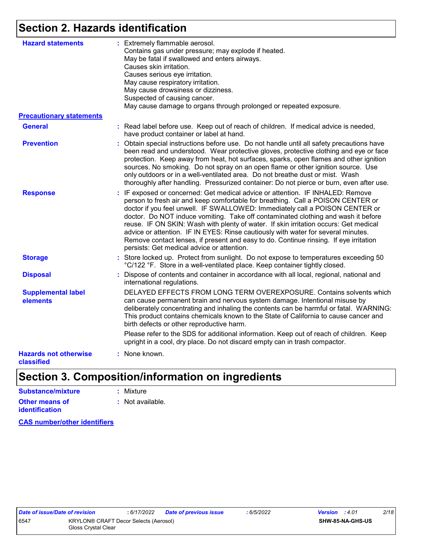### **Section 2. Hazards identification**

| <b>Hazard statements</b><br><b>Precautionary statements</b> | : Extremely flammable aerosol.<br>Contains gas under pressure; may explode if heated.<br>May be fatal if swallowed and enters airways.<br>Causes skin irritation.<br>Causes serious eye irritation.<br>May cause respiratory irritation.<br>May cause drowsiness or dizziness.<br>Suspected of causing cancer.<br>May cause damage to organs through prolonged or repeated exposure.                                                                                                                                                                                                                                                                       |
|-------------------------------------------------------------|------------------------------------------------------------------------------------------------------------------------------------------------------------------------------------------------------------------------------------------------------------------------------------------------------------------------------------------------------------------------------------------------------------------------------------------------------------------------------------------------------------------------------------------------------------------------------------------------------------------------------------------------------------|
| <b>General</b>                                              | : Read label before use. Keep out of reach of children. If medical advice is needed,<br>have product container or label at hand.                                                                                                                                                                                                                                                                                                                                                                                                                                                                                                                           |
| <b>Prevention</b>                                           | : Obtain special instructions before use. Do not handle until all safety precautions have<br>been read and understood. Wear protective gloves, protective clothing and eye or face<br>protection. Keep away from heat, hot surfaces, sparks, open flames and other ignition<br>sources. No smoking. Do not spray on an open flame or other ignition source. Use<br>only outdoors or in a well-ventilated area. Do not breathe dust or mist. Wash<br>thoroughly after handling. Pressurized container: Do not pierce or burn, even after use.                                                                                                               |
| <b>Response</b>                                             | : IF exposed or concerned: Get medical advice or attention. IF INHALED: Remove<br>person to fresh air and keep comfortable for breathing. Call a POISON CENTER or<br>doctor if you feel unwell. IF SWALLOWED: Immediately call a POISON CENTER or<br>doctor. Do NOT induce vomiting. Take off contaminated clothing and wash it before<br>reuse. IF ON SKIN: Wash with plenty of water. If skin irritation occurs: Get medical<br>advice or attention. IF IN EYES: Rinse cautiously with water for several minutes.<br>Remove contact lenses, if present and easy to do. Continue rinsing. If eye irritation<br>persists: Get medical advice or attention. |
| <b>Storage</b>                                              | : Store locked up. Protect from sunlight. Do not expose to temperatures exceeding 50<br>°C/122 °F. Store in a well-ventilated place. Keep container tightly closed.                                                                                                                                                                                                                                                                                                                                                                                                                                                                                        |
| <b>Disposal</b>                                             | : Dispose of contents and container in accordance with all local, regional, national and<br>international regulations.                                                                                                                                                                                                                                                                                                                                                                                                                                                                                                                                     |
| <b>Supplemental label</b><br>elements                       | DELAYED EFFECTS FROM LONG TERM OVEREXPOSURE. Contains solvents which<br>can cause permanent brain and nervous system damage. Intentional misuse by<br>deliberately concentrating and inhaling the contents can be harmful or fatal. WARNING:<br>This product contains chemicals known to the State of California to cause cancer and<br>birth defects or other reproductive harm.                                                                                                                                                                                                                                                                          |
|                                                             | Please refer to the SDS for additional information. Keep out of reach of children. Keep<br>upright in a cool, dry place. Do not discard empty can in trash compactor.                                                                                                                                                                                                                                                                                                                                                                                                                                                                                      |
| <b>Hazards not otherwise</b><br>classified                  | : None known.                                                                                                                                                                                                                                                                                                                                                                                                                                                                                                                                                                                                                                              |

### **Section 3. Composition/information on ingredients**

| Substance/mixture                       | : Mixture                   |
|-----------------------------------------|-----------------------------|
| Other means of<br><b>identification</b> | $\therefore$ Not available. |

**CAS number/other identifiers**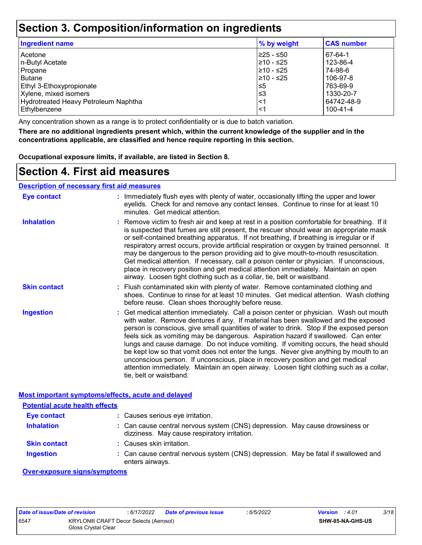### **Section 3. Composition/information on ingredients**

| <b>Ingredient name</b>               | % by weight | <b>CAS number</b> |
|--------------------------------------|-------------|-------------------|
| Acetone                              | l≥25 - ≤50  | 67-64-1           |
| n-Butyl Acetate                      | 210 - ≤25   | 123-86-4          |
| Propane                              | l≥10 - ≤25  | 74-98-6           |
| Butane                               | 210 - ≤25   | 106-97-8          |
| <b>Ethyl 3-Ethoxypropionate</b>      | ≤5          | 763-69-9          |
| Xylene, mixed isomers                | ′≤3         | 1330-20-7         |
| Hydrotreated Heavy Petroleum Naphtha | <1          | 64742-48-9        |
| Ethylbenzene                         | <1          | 100-41-4          |

Any concentration shown as a range is to protect confidentiality or is due to batch variation.

**There are no additional ingredients present which, within the current knowledge of the supplier and in the concentrations applicable, are classified and hence require reporting in this section.**

**Occupational exposure limits, if available, are listed in Section 8.**

### **Section 4. First aid measures**

| <b>Eye contact</b>  | : Immediately flush eyes with plenty of water, occasionally lifting the upper and lower<br>eyelids. Check for and remove any contact lenses. Continue to rinse for at least 10<br>minutes. Get medical attention.                                                                                                                                                                                                                                                                                                                                                                                                                                                                                                                                       |
|---------------------|---------------------------------------------------------------------------------------------------------------------------------------------------------------------------------------------------------------------------------------------------------------------------------------------------------------------------------------------------------------------------------------------------------------------------------------------------------------------------------------------------------------------------------------------------------------------------------------------------------------------------------------------------------------------------------------------------------------------------------------------------------|
| <b>Inhalation</b>   | : Remove victim to fresh air and keep at rest in a position comfortable for breathing. If it<br>is suspected that fumes are still present, the rescuer should wear an appropriate mask<br>or self-contained breathing apparatus. If not breathing, if breathing is irregular or if<br>respiratory arrest occurs, provide artificial respiration or oxygen by trained personnel. It<br>may be dangerous to the person providing aid to give mouth-to-mouth resuscitation.<br>Get medical attention. If necessary, call a poison center or physician. If unconscious,<br>place in recovery position and get medical attention immediately. Maintain an open<br>airway. Loosen tight clothing such as a collar, tie, belt or waistband.                    |
| <b>Skin contact</b> | : Flush contaminated skin with plenty of water. Remove contaminated clothing and<br>shoes. Continue to rinse for at least 10 minutes. Get medical attention. Wash clothing<br>before reuse. Clean shoes thoroughly before reuse.                                                                                                                                                                                                                                                                                                                                                                                                                                                                                                                        |
| <b>Ingestion</b>    | : Get medical attention immediately. Call a poison center or physician. Wash out mouth<br>with water. Remove dentures if any. If material has been swallowed and the exposed<br>person is conscious, give small quantities of water to drink. Stop if the exposed person<br>feels sick as vomiting may be dangerous. Aspiration hazard if swallowed. Can enter<br>lungs and cause damage. Do not induce vomiting. If vomiting occurs, the head should<br>be kept low so that vomit does not enter the lungs. Never give anything by mouth to an<br>unconscious person. If unconscious, place in recovery position and get medical<br>attention immediately. Maintain an open airway. Loosen tight clothing such as a collar,<br>tie, belt or waistband. |

#### **Most important symptoms/effects, acute and delayed**

| <b>Potential acute health effects</b> |                                                                                                                              |
|---------------------------------------|------------------------------------------------------------------------------------------------------------------------------|
| Eye contact                           | : Causes serious eye irritation.                                                                                             |
| <b>Inhalation</b>                     | : Can cause central nervous system (CNS) depression. May cause drowsiness or<br>dizziness. May cause respiratory irritation. |
| <b>Skin contact</b>                   | : Causes skin irritation.                                                                                                    |
| <b>Ingestion</b>                      | : Can cause central nervous system (CNS) depression. May be fatal if swallowed and<br>enters airways.                        |

#### **Over-exposure signs/symptoms**

|                     | Date of issue/Date of revision        | 6/17/2022 | Date of previous issue | : 6/5/2022 | <b>Version</b> : 4.01   | 3/18 |
|---------------------|---------------------------------------|-----------|------------------------|------------|-------------------------|------|
| 6547                | KRYLON® CRAFT Decor Selects (Aerosol) |           |                        |            | <b>SHW-85-NA-GHS-US</b> |      |
| Gloss Crystal Clear |                                       |           |                        |            |                         |      |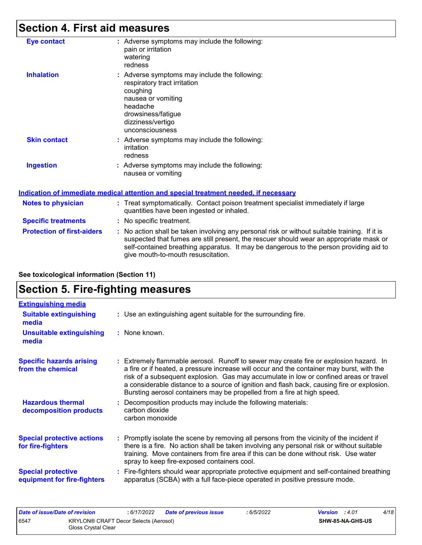### **Section 4. First aid measures**

| <b>Eye contact</b>        | : Adverse symptoms may include the following:<br>pain or irritation<br>watering<br>redness                                                                                                  |
|---------------------------|---------------------------------------------------------------------------------------------------------------------------------------------------------------------------------------------|
| <b>Inhalation</b>         | $:$ Adverse symptoms may include the following:<br>respiratory tract irritation<br>coughing<br>nausea or vomiting<br>headache<br>drowsiness/fatigue<br>dizziness/vertigo<br>unconsciousness |
| <b>Skin contact</b>       | $:$ Adverse symptoms may include the following:<br>irritation<br>redness                                                                                                                    |
| <b>Ingestion</b>          | : Adverse symptoms may include the following:<br>nausea or vomiting                                                                                                                         |
|                           | <u>Indication of immediate medical attention and special treatment needed, if necessary</u>                                                                                                 |
| <b>Notes to physician</b> | : Treat symptomatically. Contact poison treatment specialist immediately if large<br>quantities have been ingested or inhaled.                                                              |
|                           |                                                                                                                                                                                             |

**Protection of first-aiders** : No action shall be taken involving any personal risk or without suitable training. If it is suspected that fumes are still present, the rescuer should wear an appropriate mask or self-contained breathing apparatus. It may be dangerous to the person providing aid to give mouth-to-mouth resuscitation. **Specific treatments :** No specific treatment.

| See toxicological information (Section 11) |  |  |  |
|--------------------------------------------|--|--|--|
| <b>Section 5. Fire-fighting measures</b>   |  |  |  |
| <b>Extinguishing media</b>                 |  |  |  |
| <b>Contained and contained and the set</b> |  |  |  |

| <b>Suitable extinguishing</b><br>media                 | : Use an extinguishing agent suitable for the surrounding fire.                                                                                                                                                                                                                                                                                                                                                                                       |
|--------------------------------------------------------|-------------------------------------------------------------------------------------------------------------------------------------------------------------------------------------------------------------------------------------------------------------------------------------------------------------------------------------------------------------------------------------------------------------------------------------------------------|
| <b>Unsuitable extinguishing</b><br>media               | : None known.                                                                                                                                                                                                                                                                                                                                                                                                                                         |
| <b>Specific hazards arising</b><br>from the chemical   | : Extremely flammable aerosol. Runoff to sewer may create fire or explosion hazard. In<br>a fire or if heated, a pressure increase will occur and the container may burst, with the<br>risk of a subsequent explosion. Gas may accumulate in low or confined areas or travel<br>a considerable distance to a source of ignition and flash back, causing fire or explosion.<br>Bursting aerosol containers may be propelled from a fire at high speed. |
| <b>Hazardous thermal</b><br>decomposition products     | : Decomposition products may include the following materials:<br>carbon dioxide<br>carbon monoxide                                                                                                                                                                                                                                                                                                                                                    |
| <b>Special protective actions</b><br>for fire-fighters | : Promptly isolate the scene by removing all persons from the vicinity of the incident if<br>there is a fire. No action shall be taken involving any personal risk or without suitable<br>training. Move containers from fire area if this can be done without risk. Use water                                                                                                                                                                        |

spray to keep fire-exposed containers cool. Fire-fighters should wear appropriate protective equipment and self-contained breathing **:** apparatus (SCBA) with a full face-piece operated in positive pressure mode. **Special protective equipment for fire-fighters**

| Date of issue/Date of revision |                                                              | : 6/17/2022 | <b>Date of previous issue</b> | : 6/5/2022 | <b>Version</b> : 4.01 |                         | 4/18 |
|--------------------------------|--------------------------------------------------------------|-------------|-------------------------------|------------|-----------------------|-------------------------|------|
| 6547                           | KRYLON® CRAFT Decor Selects (Aerosol)<br>Gloss Crystal Clear |             |                               |            |                       | <b>SHW-85-NA-GHS-US</b> |      |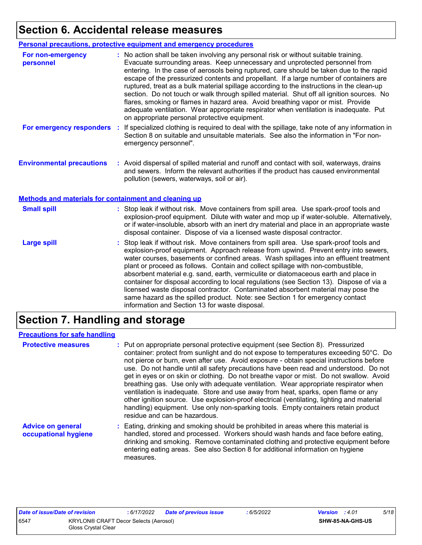### **Section 6. Accidental release measures**

|                                                                                                  | Personal precautions, protective equipment and emergency procedures                                                                                                                                                                                                                                                                                                                                                                                                                                                                                                                                                                                                                                                                                                              |
|--------------------------------------------------------------------------------------------------|----------------------------------------------------------------------------------------------------------------------------------------------------------------------------------------------------------------------------------------------------------------------------------------------------------------------------------------------------------------------------------------------------------------------------------------------------------------------------------------------------------------------------------------------------------------------------------------------------------------------------------------------------------------------------------------------------------------------------------------------------------------------------------|
| For non-emergency<br>personnel                                                                   | : No action shall be taken involving any personal risk or without suitable training.<br>Evacuate surrounding areas. Keep unnecessary and unprotected personnel from<br>entering. In the case of aerosols being ruptured, care should be taken due to the rapid<br>escape of the pressurized contents and propellant. If a large number of containers are<br>ruptured, treat as a bulk material spillage according to the instructions in the clean-up<br>section. Do not touch or walk through spilled material. Shut off all ignition sources. No<br>flares, smoking or flames in hazard area. Avoid breathing vapor or mist. Provide<br>adequate ventilation. Wear appropriate respirator when ventilation is inadequate. Put<br>on appropriate personal protective equipment. |
| For emergency responders                                                                         | If specialized clothing is required to deal with the spillage, take note of any information in<br>÷<br>Section 8 on suitable and unsuitable materials. See also the information in "For non-<br>emergency personnel".                                                                                                                                                                                                                                                                                                                                                                                                                                                                                                                                                            |
| <b>Environmental precautions</b><br><b>Methods and materials for containment and cleaning up</b> | : Avoid dispersal of spilled material and runoff and contact with soil, waterways, drains<br>and sewers. Inform the relevant authorities if the product has caused environmental<br>pollution (sewers, waterways, soil or air).                                                                                                                                                                                                                                                                                                                                                                                                                                                                                                                                                  |
|                                                                                                  |                                                                                                                                                                                                                                                                                                                                                                                                                                                                                                                                                                                                                                                                                                                                                                                  |
| <b>Small spill</b>                                                                               | : Stop leak if without risk. Move containers from spill area. Use spark-proof tools and<br>explosion-proof equipment. Dilute with water and mop up if water-soluble. Alternatively,<br>or if water-insoluble, absorb with an inert dry material and place in an appropriate waste<br>disposal container. Dispose of via a licensed waste disposal contractor.                                                                                                                                                                                                                                                                                                                                                                                                                    |
| <b>Large spill</b>                                                                               | : Stop leak if without risk. Move containers from spill area. Use spark-proof tools and<br>explosion-proof equipment. Approach release from upwind. Prevent entry into sewers,<br>water courses, basements or confined areas. Wash spillages into an effluent treatment<br>plant or proceed as follows. Contain and collect spillage with non-combustible,<br>absorbent material e.g. sand, earth, vermiculite or diatomaceous earth and place in<br>container for disposal according to local regulations (see Section 13). Dispose of via a<br>licensed waste disposal contractor. Contaminated absorbent material may pose the<br>same hazard as the spilled product. Note: see Section 1 for emergency contact<br>information and Section 13 for waste disposal.             |

### **Section 7. Handling and storage**

#### **Precautions for safe handling**

| <b>Protective measures</b>                       | : Put on appropriate personal protective equipment (see Section 8). Pressurized<br>container: protect from sunlight and do not expose to temperatures exceeding 50°C. Do<br>not pierce or burn, even after use. Avoid exposure - obtain special instructions before<br>use. Do not handle until all safety precautions have been read and understood. Do not<br>get in eyes or on skin or clothing. Do not breathe vapor or mist. Do not swallow. Avoid<br>breathing gas. Use only with adequate ventilation. Wear appropriate respirator when<br>ventilation is inadequate. Store and use away from heat, sparks, open flame or any<br>other ignition source. Use explosion-proof electrical (ventilating, lighting and material<br>handling) equipment. Use only non-sparking tools. Empty containers retain product<br>residue and can be hazardous. |
|--------------------------------------------------|---------------------------------------------------------------------------------------------------------------------------------------------------------------------------------------------------------------------------------------------------------------------------------------------------------------------------------------------------------------------------------------------------------------------------------------------------------------------------------------------------------------------------------------------------------------------------------------------------------------------------------------------------------------------------------------------------------------------------------------------------------------------------------------------------------------------------------------------------------|
| <b>Advice on general</b><br>occupational hygiene | : Eating, drinking and smoking should be prohibited in areas where this material is<br>handled, stored and processed. Workers should wash hands and face before eating,<br>drinking and smoking. Remove contaminated clothing and protective equipment before<br>entering eating areas. See also Section 8 for additional information on hygiene<br>measures.                                                                                                                                                                                                                                                                                                                                                                                                                                                                                           |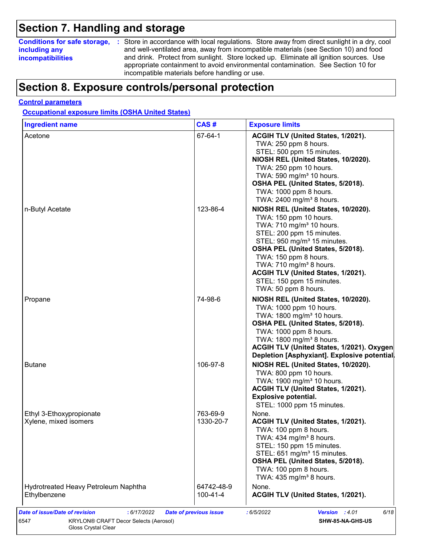### **Section 7. Handling and storage**

### **including any incompatibilities**

**Conditions for safe storage,** : Store in accordance with local regulations. Store away from direct sunlight in a dry, cool and well-ventilated area, away from incompatible materials (see Section 10) and food and drink. Protect from sunlight. Store locked up. Eliminate all ignition sources. Use appropriate containment to avoid environmental contamination. See Section 10 for incompatible materials before handling or use.

### **Section 8. Exposure controls/personal protection**

#### **Control parameters**

**Occupational exposure limits (OSHA United States)**

| <b>Ingredient name</b>                            | CAS#                   | <b>Exposure limits</b>                                                                                                                                                                                                                                                                                                     |
|---------------------------------------------------|------------------------|----------------------------------------------------------------------------------------------------------------------------------------------------------------------------------------------------------------------------------------------------------------------------------------------------------------------------|
| Acetone                                           | 67-64-1                | ACGIH TLV (United States, 1/2021).<br>TWA: 250 ppm 8 hours.<br>STEL: 500 ppm 15 minutes.<br>NIOSH REL (United States, 10/2020).<br>TWA: 250 ppm 10 hours.<br>TWA: 590 mg/m <sup>3</sup> 10 hours.<br>OSHA PEL (United States, 5/2018).<br>TWA: 1000 ppm 8 hours.<br>TWA: 2400 mg/m <sup>3</sup> 8 hours.                   |
| n-Butyl Acetate                                   | 123-86-4               | NIOSH REL (United States, 10/2020).<br>TWA: 150 ppm 10 hours.<br>TWA: 710 mg/m <sup>3</sup> 10 hours.<br>STEL: 200 ppm 15 minutes.<br>STEL: 950 mg/m <sup>3</sup> 15 minutes.<br>OSHA PEL (United States, 5/2018).<br>TWA: 150 ppm 8 hours.<br>TWA: $710$ mg/m <sup>3</sup> 8 hours.<br>ACGIH TLV (United States, 1/2021). |
|                                                   |                        | STEL: 150 ppm 15 minutes.<br>TWA: 50 ppm 8 hours.                                                                                                                                                                                                                                                                          |
| Propane                                           | 74-98-6                | NIOSH REL (United States, 10/2020).<br>TWA: 1000 ppm 10 hours.<br>TWA: 1800 mg/m <sup>3</sup> 10 hours.<br>OSHA PEL (United States, 5/2018).<br>TWA: 1000 ppm 8 hours.<br>TWA: 1800 mg/m <sup>3</sup> 8 hours.<br>ACGIH TLV (United States, 1/2021). Oxygen<br>Depletion [Asphyxiant]. Explosive potential                 |
| <b>Butane</b>                                     | 106-97-8               | NIOSH REL (United States, 10/2020).<br>TWA: 800 ppm 10 hours.<br>TWA: 1900 mg/m <sup>3</sup> 10 hours.<br>ACGIH TLV (United States, 1/2021).<br><b>Explosive potential.</b><br>STEL: 1000 ppm 15 minutes.                                                                                                                  |
| Ethyl 3-Ethoxypropionate<br>Xylene, mixed isomers | 763-69-9<br>1330-20-7  | None.<br>ACGIH TLV (United States, 1/2021).<br>TWA: 100 ppm 8 hours.<br>TWA: 434 mg/m <sup>3</sup> 8 hours.<br>STEL: 150 ppm 15 minutes.<br>STEL: 651 mg/m <sup>3</sup> 15 minutes.<br>OSHA PEL (United States, 5/2018).<br>TWA: 100 ppm 8 hours.<br>TWA: $435 \text{ mg/m}^3$ 8 hours.                                    |
| Hydrotreated Heavy Petroleum Naphtha              | 64742-48-9<br>100-41-4 | None.<br>ACGIH TLV (United States, 1/2021).                                                                                                                                                                                                                                                                                |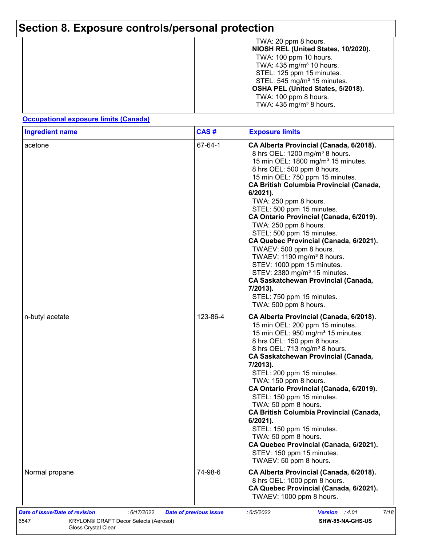| TWA: 20 ppm 8 hours.<br>NIOSH REL (United States, 10/2020).                                                                                                                                                                               |
|-------------------------------------------------------------------------------------------------------------------------------------------------------------------------------------------------------------------------------------------|
| TWA: 100 ppm 10 hours.<br>TWA: $435 \text{ mg/m}^3$ 10 hours.<br>STEL: 125 ppm 15 minutes.<br>STEL: 545 mg/m <sup>3</sup> 15 minutes.<br>OSHA PEL (United States, 5/2018).<br>TWA: 100 ppm 8 hours.<br>TWA: $435 \text{ mg/m}^3$ 8 hours. |

#### **Occupational exposure limits (Canada)**

| <b>Ingredient name</b> | CAS#     | <b>Exposure limits</b>                                                                                                                                                                                                                                                                                                                                                                                                                                                                                                                                                                                                                                                                                                                     |
|------------------------|----------|--------------------------------------------------------------------------------------------------------------------------------------------------------------------------------------------------------------------------------------------------------------------------------------------------------------------------------------------------------------------------------------------------------------------------------------------------------------------------------------------------------------------------------------------------------------------------------------------------------------------------------------------------------------------------------------------------------------------------------------------|
| acetone                | 67-64-1  | CA Alberta Provincial (Canada, 6/2018).<br>8 hrs OEL: 1200 mg/m <sup>3</sup> 8 hours.<br>15 min OEL: 1800 mg/m <sup>3</sup> 15 minutes.<br>8 hrs OEL: 500 ppm 8 hours.<br>15 min OEL: 750 ppm 15 minutes.<br><b>CA British Columbia Provincial (Canada,</b><br>$6/2021$ ).<br>TWA: 250 ppm 8 hours.<br>STEL: 500 ppm 15 minutes.<br>CA Ontario Provincial (Canada, 6/2019).<br>TWA: 250 ppm 8 hours.<br>STEL: 500 ppm 15 minutes.<br>CA Quebec Provincial (Canada, 6/2021).<br>TWAEV: 500 ppm 8 hours.<br>TWAEV: 1190 mg/m <sup>3</sup> 8 hours.<br>STEV: 1000 ppm 15 minutes.<br>STEV: 2380 mg/m <sup>3</sup> 15 minutes.<br><b>CA Saskatchewan Provincial (Canada,</b><br>7/2013).<br>STEL: 750 ppm 15 minutes.<br>TWA: 500 ppm 8 hours. |
| n-butyl acetate        | 123-86-4 | CA Alberta Provincial (Canada, 6/2018).<br>15 min OEL: 200 ppm 15 minutes.<br>15 min OEL: 950 mg/m <sup>3</sup> 15 minutes.<br>8 hrs OEL: 150 ppm 8 hours.<br>8 hrs OEL: 713 mg/m <sup>3</sup> 8 hours.<br><b>CA Saskatchewan Provincial (Canada,</b><br>7/2013).<br>STEL: 200 ppm 15 minutes.<br>TWA: 150 ppm 8 hours.<br>CA Ontario Provincial (Canada, 6/2019).<br>STEL: 150 ppm 15 minutes.<br>TWA: 50 ppm 8 hours.<br><b>CA British Columbia Provincial (Canada,</b><br>$6/2021$ ).<br>STEL: 150 ppm 15 minutes.<br>TWA: 50 ppm 8 hours.<br>CA Quebec Provincial (Canada, 6/2021).<br>STEV: 150 ppm 15 minutes.<br>TWAEV: 50 ppm 8 hours.                                                                                             |
| Normal propane         | 74-98-6  | CA Alberta Provincial (Canada, 6/2018).<br>8 hrs OEL: 1000 ppm 8 hours.<br>CA Quebec Provincial (Canada, 6/2021).<br>TWAEV: 1000 ppm 8 hours.                                                                                                                                                                                                                                                                                                                                                                                                                                                                                                                                                                                              |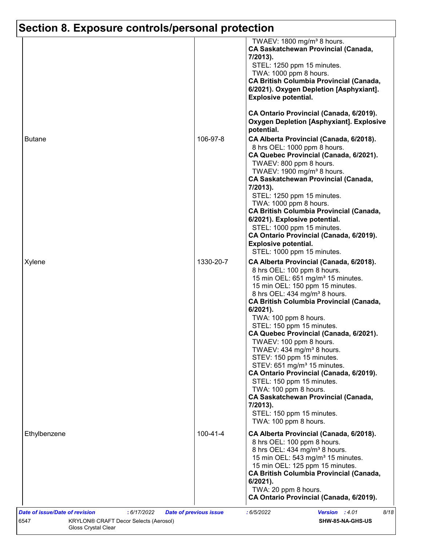|               |                | TWAEV: 1800 mg/m <sup>3</sup> 8 hours.<br><b>CA Saskatchewan Provincial (Canada,</b><br>7/2013).<br>STEL: 1250 ppm 15 minutes.<br>TWA: 1000 ppm 8 hours.<br><b>CA British Columbia Provincial (Canada,</b><br>6/2021). Oxygen Depletion [Asphyxiant].<br><b>Explosive potential.</b><br>CA Ontario Provincial (Canada, 6/2019).<br><b>Oxygen Depletion [Asphyxiant]. Explosive</b>                                                                                                                                                                                                                                                                                                                                                                                  |
|---------------|----------------|---------------------------------------------------------------------------------------------------------------------------------------------------------------------------------------------------------------------------------------------------------------------------------------------------------------------------------------------------------------------------------------------------------------------------------------------------------------------------------------------------------------------------------------------------------------------------------------------------------------------------------------------------------------------------------------------------------------------------------------------------------------------|
| <b>Butane</b> | 106-97-8       | potential.<br>CA Alberta Provincial (Canada, 6/2018).<br>8 hrs OEL: 1000 ppm 8 hours.<br>CA Quebec Provincial (Canada, 6/2021).<br>TWAEV: 800 ppm 8 hours.<br>TWAEV: 1900 mg/m <sup>3</sup> 8 hours.<br><b>CA Saskatchewan Provincial (Canada,</b><br>7/2013).<br>STEL: 1250 ppm 15 minutes.<br>TWA: 1000 ppm 8 hours.<br><b>CA British Columbia Provincial (Canada,</b><br>6/2021). Explosive potential.<br>STEL: 1000 ppm 15 minutes.<br>CA Ontario Provincial (Canada, 6/2019).<br><b>Explosive potential.</b>                                                                                                                                                                                                                                                   |
| Xylene        | 1330-20-7      | STEL: 1000 ppm 15 minutes.<br>CA Alberta Provincial (Canada, 6/2018).<br>8 hrs OEL: 100 ppm 8 hours.<br>15 min OEL: 651 mg/m <sup>3</sup> 15 minutes.<br>15 min OEL: 150 ppm 15 minutes.<br>8 hrs OEL: 434 mg/m <sup>3</sup> 8 hours.<br><b>CA British Columbia Provincial (Canada,</b><br>$6/2021$ ).<br>TWA: 100 ppm 8 hours.<br>STEL: 150 ppm 15 minutes.<br>CA Quebec Provincial (Canada, 6/2021).<br>TWAEV: 100 ppm 8 hours.<br>TWAEV: 434 mg/m <sup>3</sup> 8 hours.<br>STEV: 150 ppm 15 minutes.<br>STEV: 651 mg/m <sup>3</sup> 15 minutes.<br>CA Ontario Provincial (Canada, 6/2019).<br>STEL: 150 ppm 15 minutes.<br>TWA: 100 ppm 8 hours.<br><b>CA Saskatchewan Provincial (Canada,</b><br>7/2013).<br>STEL: 150 ppm 15 minutes.<br>TWA: 100 ppm 8 hours. |
| Ethylbenzene  | $100 - 41 - 4$ | CA Alberta Provincial (Canada, 6/2018).<br>8 hrs OEL: 100 ppm 8 hours.<br>8 hrs OEL: 434 mg/m <sup>3</sup> 8 hours.<br>15 min OEL: 543 mg/m <sup>3</sup> 15 minutes.<br>15 min OEL: 125 ppm 15 minutes.<br><b>CA British Columbia Provincial (Canada,</b><br>$6/2021$ ).<br>TWA: 20 ppm 8 hours.<br>CA Ontario Provincial (Canada, 6/2019).                                                                                                                                                                                                                                                                                                                                                                                                                         |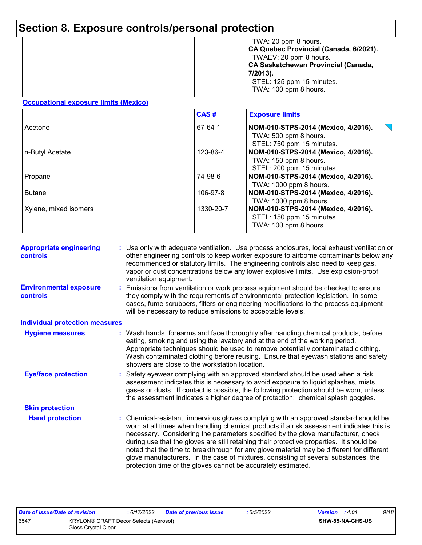|  | TWA: 20 ppm 8 hours.<br>CA Quebec Provincial (Canada, 6/2021).<br>TWAEV: 20 ppm 8 hours.<br>CA Saskatchewan Provincial (Canada,<br>7/2013).<br>STEL: 125 ppm 15 minutes.<br>TWA: 100 ppm 8 hours. |
|--|---------------------------------------------------------------------------------------------------------------------------------------------------------------------------------------------------|
|--|---------------------------------------------------------------------------------------------------------------------------------------------------------------------------------------------------|

#### **Occupational exposure limits (Mexico)**

|                       | CAS#      | <b>Exposure limits</b>                                           |
|-----------------------|-----------|------------------------------------------------------------------|
| Acetone               | 67-64-1   | NOM-010-STPS-2014 (Mexico, 4/2016).                              |
|                       |           | TWA: 500 ppm 8 hours.<br>STEL: 750 ppm 15 minutes.               |
| n-Butyl Acetate       | 123-86-4  | NOM-010-STPS-2014 (Mexico, 4/2016).                              |
|                       |           | TWA: 150 ppm 8 hours.                                            |
| Propane               | 74-98-6   | STEL: 200 ppm 15 minutes.<br>NOM-010-STPS-2014 (Mexico, 4/2016). |
|                       |           | TWA: 1000 ppm 8 hours.                                           |
| <b>Butane</b>         | 106-97-8  | NOM-010-STPS-2014 (Mexico, 4/2016).                              |
|                       | 1330-20-7 | TWA: 1000 ppm 8 hours.                                           |
| Xylene, mixed isomers |           | NOM-010-STPS-2014 (Mexico, 4/2016).<br>STEL: 150 ppm 15 minutes. |
|                       |           | TWA: 100 ppm 8 hours.                                            |

| <b>Appropriate engineering</b><br><b>controls</b> |  | : Use only with adequate ventilation. Use process enclosures, local exhaust ventilation or<br>other engineering controls to keep worker exposure to airborne contaminants below any<br>recommended or statutory limits. The engineering controls also need to keep gas,<br>vapor or dust concentrations below any lower explosive limits. Use explosion-proof<br>ventilation equipment.                                                                                                                                                                                                                                |
|---------------------------------------------------|--|------------------------------------------------------------------------------------------------------------------------------------------------------------------------------------------------------------------------------------------------------------------------------------------------------------------------------------------------------------------------------------------------------------------------------------------------------------------------------------------------------------------------------------------------------------------------------------------------------------------------|
| <b>Environmental exposure</b><br>controls         |  | Emissions from ventilation or work process equipment should be checked to ensure<br>they comply with the requirements of environmental protection legislation. In some<br>cases, fume scrubbers, filters or engineering modifications to the process equipment<br>will be necessary to reduce emissions to acceptable levels.                                                                                                                                                                                                                                                                                          |
| <b>Individual protection measures</b>             |  |                                                                                                                                                                                                                                                                                                                                                                                                                                                                                                                                                                                                                        |
| <b>Hygiene measures</b>                           |  | : Wash hands, forearms and face thoroughly after handling chemical products, before<br>eating, smoking and using the lavatory and at the end of the working period.<br>Appropriate techniques should be used to remove potentially contaminated clothing.<br>Wash contaminated clothing before reusing. Ensure that eyewash stations and safety<br>showers are close to the workstation location.                                                                                                                                                                                                                      |
| <b>Eye/face protection</b>                        |  | : Safety eyewear complying with an approved standard should be used when a risk<br>assessment indicates this is necessary to avoid exposure to liquid splashes, mists,<br>gases or dusts. If contact is possible, the following protection should be worn, unless<br>the assessment indicates a higher degree of protection: chemical splash goggles.                                                                                                                                                                                                                                                                  |
| <b>Skin protection</b>                            |  |                                                                                                                                                                                                                                                                                                                                                                                                                                                                                                                                                                                                                        |
| <b>Hand protection</b>                            |  | : Chemical-resistant, impervious gloves complying with an approved standard should be<br>worn at all times when handling chemical products if a risk assessment indicates this is<br>necessary. Considering the parameters specified by the glove manufacturer, check<br>during use that the gloves are still retaining their protective properties. It should be<br>noted that the time to breakthrough for any glove material may be different for different<br>glove manufacturers. In the case of mixtures, consisting of several substances, the<br>protection time of the gloves cannot be accurately estimated. |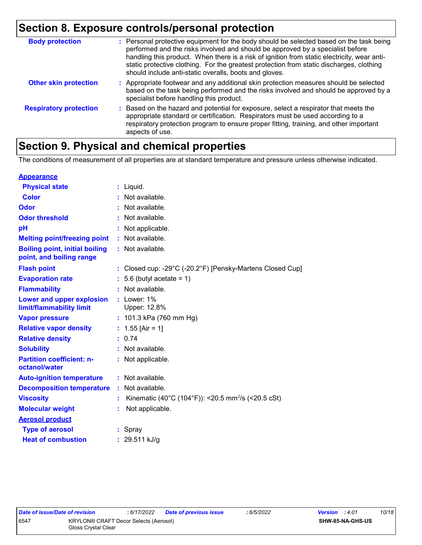| <b>Body protection</b>        | : Personal protective equipment for the body should be selected based on the task being<br>performed and the risks involved and should be approved by a specialist before<br>handling this product. When there is a risk of ignition from static electricity, wear anti-<br>static protective clothing. For the greatest protection from static discharges, clothing<br>should include anti-static overalls, boots and gloves. |
|-------------------------------|--------------------------------------------------------------------------------------------------------------------------------------------------------------------------------------------------------------------------------------------------------------------------------------------------------------------------------------------------------------------------------------------------------------------------------|
| <b>Other skin protection</b>  | : Appropriate footwear and any additional skin protection measures should be selected<br>based on the task being performed and the risks involved and should be approved by a<br>specialist before handling this product.                                                                                                                                                                                                      |
| <b>Respiratory protection</b> | : Based on the hazard and potential for exposure, select a respirator that meets the<br>appropriate standard or certification. Respirators must be used according to a<br>respiratory protection program to ensure proper fitting, training, and other important<br>aspects of use.                                                                                                                                            |

### **Section 9. Physical and chemical properties**

The conditions of measurement of all properties are at standard temperature and pressure unless otherwise indicated.

| <b>Appearance</b>                                                 |    |                                                                                 |
|-------------------------------------------------------------------|----|---------------------------------------------------------------------------------|
| <b>Physical state</b>                                             |    | $:$ Liquid.                                                                     |
| <b>Color</b>                                                      |    | Not available.                                                                  |
| Odor                                                              |    | Not available.                                                                  |
| <b>Odor threshold</b>                                             |    | Not available.                                                                  |
| pH                                                                |    | Not applicable.                                                                 |
| <b>Melting point/freezing point</b>                               |    | Not available.                                                                  |
| <b>Boiling point, initial boiling</b><br>point, and boiling range |    | : Not available.                                                                |
| <b>Flash point</b>                                                |    | : Closed cup: -29 $^{\circ}$ C (-20.2 $^{\circ}$ F) [Pensky-Martens Closed Cup] |
| <b>Evaporation rate</b>                                           |    | 5.6 (butyl acetate = $1$ )                                                      |
| <b>Flammability</b>                                               |    | Not available.                                                                  |
| Lower and upper explosion<br>limit/flammability limit             |    | $:$ Lower: $1\%$<br>Upper: 12.8%                                                |
| <b>Vapor pressure</b>                                             |    | : 101.3 kPa (760 mm Hg)                                                         |
| <b>Relative vapor density</b>                                     |    | : $1.55$ [Air = 1]                                                              |
| <b>Relative density</b>                                           |    | 0.74                                                                            |
| <b>Solubility</b>                                                 |    | Not available.                                                                  |
| <b>Partition coefficient: n-</b><br>octanol/water                 |    | : Not applicable.                                                               |
| <b>Auto-ignition temperature</b>                                  |    | : Not available.                                                                |
| <b>Decomposition temperature</b>                                  | ÷. | Not available.                                                                  |
| <b>Viscosity</b>                                                  |    | Kinematic (40°C (104°F)): <20.5 mm <sup>2</sup> /s (<20.5 cSt)                  |
| <b>Molecular weight</b>                                           |    | Not applicable.                                                                 |
| <b>Aerosol product</b>                                            |    |                                                                                 |
| <b>Type of aerosol</b>                                            |    | : Spray                                                                         |
| <b>Heat of combustion</b>                                         |    | : $29.511$ kJ/g                                                                 |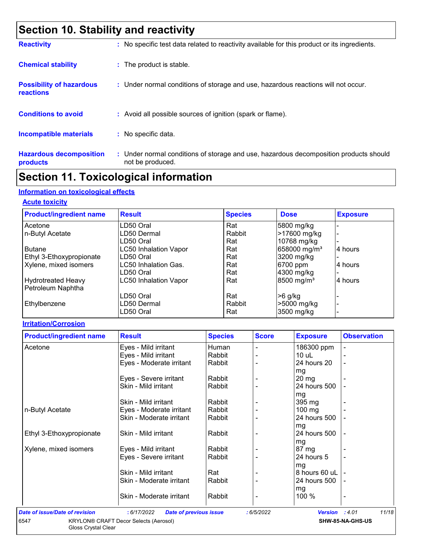### **Section 10. Stability and reactivity**

| <b>Reactivity</b>                            | : No specific test data related to reactivity available for this product or its ingredients.              |
|----------------------------------------------|-----------------------------------------------------------------------------------------------------------|
| <b>Chemical stability</b>                    | : The product is stable.                                                                                  |
| <b>Possibility of hazardous</b><br>reactions | : Under normal conditions of storage and use, hazardous reactions will not occur.                         |
| <b>Conditions to avoid</b>                   | : Avoid all possible sources of ignition (spark or flame).                                                |
| <b>Incompatible materials</b>                | : No specific data.                                                                                       |
| <b>Hazardous decomposition</b><br>products   | : Under normal conditions of storage and use, hazardous decomposition products should<br>not be produced. |

### **Section 11. Toxicological information**

### **Information on toxicological effects**

#### **Acute toxicity**

| <b>Product/ingredient name</b> | <b>Result</b>                | <b>Species</b> | <b>Dose</b>              | <b>Exposure</b> |
|--------------------------------|------------------------------|----------------|--------------------------|-----------------|
| Acetone                        | LD50 Oral                    | Rat            | 5800 mg/kg               |                 |
| n-Butyl Acetate                | LD50 Dermal                  | Rabbit         | >17600 mg/kg             |                 |
|                                | LD50 Oral                    | Rat            | 10768 mg/kg              |                 |
| <b>Butane</b>                  | <b>LC50 Inhalation Vapor</b> | Rat            | 658000 mg/m <sup>3</sup> | 4 hours         |
| Ethyl 3-Ethoxypropionate       | LD50 Oral                    | Rat            | 3200 mg/kg               |                 |
| Xylene, mixed isomers          | <b>LC50 Inhalation Gas.</b>  | Rat            | 6700 ppm                 | 4 hours         |
|                                | LD50 Oral                    | Rat            | 4300 mg/kg               |                 |
| <b>Hydrotreated Heavy</b>      | <b>LC50 Inhalation Vapor</b> | Rat            | 8500 mg/m <sup>3</sup>   | 4 hours         |
| Petroleum Naphtha              |                              |                |                          |                 |
|                                | LD50 Oral                    | Rat            | $>6$ g/kg                |                 |
| Ethylbenzene                   | LD50 Dermal                  | Rabbit         | >5000 mg/kg              |                 |
|                                | LD50 Oral                    | Rat            | 3500 mg/kg               |                 |

#### **Irritation/Corrosion**

| <b>Product/ingredient name</b>        | <b>Result</b>                                | <b>Species</b> | <b>Score</b> | <b>Exposure</b> | <b>Observation</b> |
|---------------------------------------|----------------------------------------------|----------------|--------------|-----------------|--------------------|
| Acetone                               | Eyes - Mild irritant                         | Human          |              | 186300 ppm      |                    |
|                                       | Eyes - Mild irritant                         | Rabbit         |              | 10 uL           |                    |
|                                       | Eyes - Moderate irritant                     | Rabbit         |              | 24 hours 20     | $\blacksquare$     |
|                                       |                                              |                |              | mg              |                    |
|                                       | Eyes - Severe irritant                       | Rabbit         |              | $20 \, mg$      |                    |
|                                       | Skin - Mild irritant                         | Rabbit         |              | 24 hours 500    |                    |
|                                       |                                              |                |              | mg              |                    |
|                                       | Skin - Mild irritant                         | Rabbit         |              | 395 mg          |                    |
| n-Butyl Acetate                       | Eyes - Moderate irritant                     | Rabbit         |              | $100$ mg        |                    |
|                                       | Skin - Moderate irritant                     | Rabbit         |              | 24 hours 500    |                    |
|                                       |                                              |                |              | mg              |                    |
| Ethyl 3-Ethoxypropionate              | Skin - Mild irritant                         | Rabbit         |              | 24 hours 500    |                    |
|                                       |                                              |                |              | mg              |                    |
| Xylene, mixed isomers                 | Eyes - Mild irritant                         | Rabbit         |              | 87 mg           |                    |
|                                       | Eyes - Severe irritant                       | Rabbit         |              | 24 hours 5      |                    |
|                                       |                                              |                |              | mg              |                    |
|                                       | Skin - Mild irritant                         | Rat            |              | 8 hours 60 uL   |                    |
|                                       | Skin - Moderate irritant                     | Rabbit         |              | 24 hours 500    |                    |
|                                       |                                              |                |              | mg              |                    |
|                                       | Skin - Moderate irritant                     | Rabbit         |              | 100 %           |                    |
|                                       |                                              |                |              |                 |                    |
| <b>Date of issue/Date of revision</b> | <b>Date of previous issue</b><br>: 6/17/2022 |                | :6/5/2022    | <b>Version</b>  | 11/18<br>: 4.01    |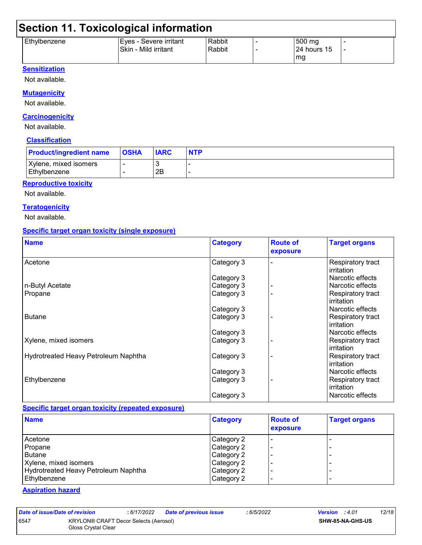### **Section 11. Toxicological information**

| Ethylbenzene | IEves - Severe irritant | Rabbit | 500 mg      |  |
|--------------|-------------------------|--------|-------------|--|
|              | Skin - Mild irritant    | Rabbit | 24 hours 15 |  |
|              |                         |        | mg          |  |

#### **Sensitization**

Not available.

#### **Mutagenicity**

Not available.

#### **Carcinogenicity**

Not available.

#### **Classification**

| <b>Product/ingredient name</b>        | <b>OSHA</b> | <b>IARC</b> | <b>NTP</b> |
|---------------------------------------|-------------|-------------|------------|
| Xylene, mixed isomers<br>Ethylbenzene |             | 2B          |            |

#### **Reproductive toxicity**

Not available.

#### **Teratogenicity**

Not available.

#### **Specific target organ toxicity (single exposure)**

| <b>Name</b>                          | <b>Category</b> | <b>Route of</b><br>exposure | <b>Target organs</b>            |
|--------------------------------------|-----------------|-----------------------------|---------------------------------|
| Acetone                              | Category 3      |                             | Respiratory tract<br>irritation |
|                                      | Category 3      |                             | Narcotic effects                |
| n-Butyl Acetate                      | Category 3      |                             | Narcotic effects                |
| Propane                              | Category 3      |                             | Respiratory tract<br>irritation |
|                                      | Category 3      |                             | Narcotic effects                |
| <b>Butane</b>                        | Category 3      |                             | Respiratory tract<br>irritation |
|                                      | Category 3      |                             | Narcotic effects                |
| Xylene, mixed isomers                | Category 3      |                             | Respiratory tract<br>irritation |
| Hydrotreated Heavy Petroleum Naphtha | Category 3      |                             | Respiratory tract<br>irritation |
|                                      | Category 3      |                             | Narcotic effects                |
| Ethylbenzene                         | Category 3      |                             | Respiratory tract<br>irritation |
|                                      | Category 3      |                             | Narcotic effects                |

#### **Specific target organ toxicity (repeated exposure)**

| <b>Name</b>                          | <b>Category</b> | <b>Route of</b><br>exposure | <b>Target organs</b> |
|--------------------------------------|-----------------|-----------------------------|----------------------|
| Acetone                              | Category 2      |                             |                      |
| Propane                              | Category 2      |                             | -                    |
| Butane                               | Category 2      |                             |                      |
| Xylene, mixed isomers                | Category 2      |                             |                      |
| Hydrotreated Heavy Petroleum Naphtha | Category 2      |                             |                      |
| Ethylbenzene                         | Category 2      |                             |                      |

#### **Aspiration hazard**

*Date of issue/Date of revision* **:** *6/17/2022 Date of previous issue : 6/5/2022 Version : 4.01 12/18* 6547 KRYLON® CRAFT Decor Selects (Aerosol)

Gloss Crystal Clear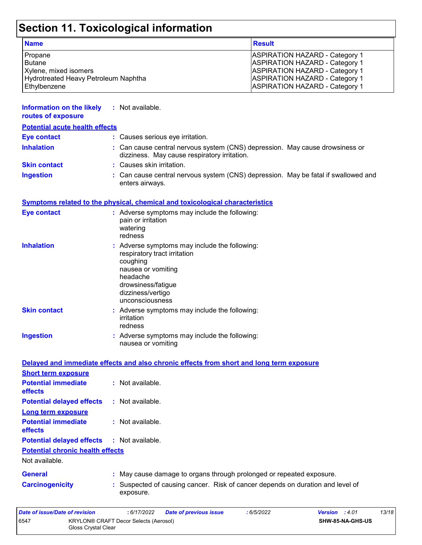## **Section 11. Toxicological information**

| <b>Name</b>                          | <b>Result</b>                         |
|--------------------------------------|---------------------------------------|
| Propane                              | <b>ASPIRATION HAZARD - Category 1</b> |
| Butane                               | <b>ASPIRATION HAZARD - Category 1</b> |
| Xylene, mixed isomers                | <b>ASPIRATION HAZARD - Category 1</b> |
| Hydrotreated Heavy Petroleum Naphtha | <b>ASPIRATION HAZARD - Category 1</b> |
| Ethylbenzene                         | <b>ASPIRATION HAZARD - Category 1</b> |

| Information on the likely<br>routes of exposure | : Not available.                                                                                                             |
|-------------------------------------------------|------------------------------------------------------------------------------------------------------------------------------|
| <b>Potential acute health effects</b>           |                                                                                                                              |
| <b>Eye contact</b>                              | : Causes serious eye irritation.                                                                                             |
| <b>Inhalation</b>                               | : Can cause central nervous system (CNS) depression. May cause drowsiness or<br>dizziness. May cause respiratory irritation. |
| <b>Skin contact</b>                             | : Causes skin irritation.                                                                                                    |
| <b>Ingestion</b>                                | : Can cause central nervous system (CNS) depression. May be fatal if swallowed and<br>enters airways.                        |

#### **Symptoms related to the physical, chemical and toxicological characteristics**

| <b>Eye contact</b>  | : Adverse symptoms may include the following:<br>pain or irritation<br>watering<br>redness                                                                                                |
|---------------------|-------------------------------------------------------------------------------------------------------------------------------------------------------------------------------------------|
| <b>Inhalation</b>   | : Adverse symptoms may include the following:<br>respiratory tract irritation<br>coughing<br>nausea or vomiting<br>headache<br>drowsiness/fatigue<br>dizziness/vertigo<br>unconsciousness |
| <b>Skin contact</b> | : Adverse symptoms may include the following:<br>irritation<br>redness                                                                                                                    |
| <b>Ingestion</b>    | : Adverse symptoms may include the following:<br>nausea or vomiting                                                                                                                       |

Gloss Crystal Clear

|                                              | Delayed and immediate effects and also chronic effects from short and long term exposure    |
|----------------------------------------------|---------------------------------------------------------------------------------------------|
| <b>Short term exposure</b>                   |                                                                                             |
| <b>Potential immediate</b><br>effects        | $\therefore$ Not available.                                                                 |
| <b>Potential delayed effects</b>             | $:$ Not available.                                                                          |
| <b>Long term exposure</b>                    |                                                                                             |
| <b>Potential immediate</b><br><b>effects</b> | $\therefore$ Not available.                                                                 |
| <b>Potential delayed effects</b>             | $:$ Not available.                                                                          |
| <b>Potential chronic health effects</b>      |                                                                                             |
| Not available.                               |                                                                                             |
| General                                      | : May cause damage to organs through prolonged or repeated exposure.                        |
| <b>Carcinogenicity</b>                       | : Suspected of causing cancer. Risk of cancer depends on duration and level of<br>exposure. |
| Date of issue/Date of revision               | 13/18<br>:6/17/2022<br><b>Date of previous issue</b><br>Version : 4.01<br>:6/5/2022         |
| 6547                                         | <b>KRYLON® CRAFT Decor Selects (Aerosol)</b><br>SHW-85-NA-GHS-US                            |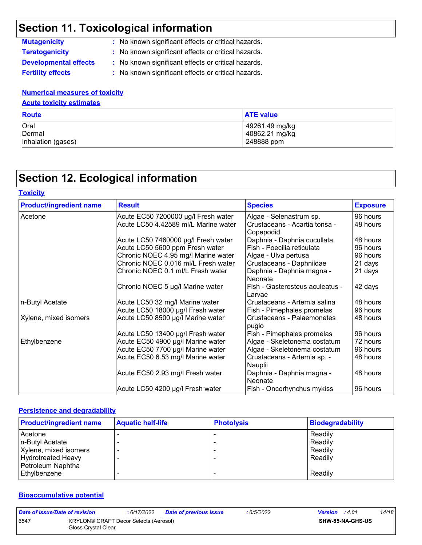### **Section 11. Toxicological information**

**Developmental effects :** No known significant effects or critical hazards.

**Mutagenicity :** No known significant effects or critical hazards.

**Teratogenicity :** No known significant effects or critical hazards.

**Fertility effects :** No known significant effects or critical hazards.

#### **Numerical measures of toxicity**

#### **Acute toxicity estimates**

| <b>Route</b>       | <b>ATE value</b> |
|--------------------|------------------|
| Oral               | 49261.49 mg/kg   |
| Dermal             | 40862.21 mg/kg   |
| Inhalation (gases) | 248888 ppm       |

### **Section 12. Ecological information**

| <b>Product/ingredient name</b> | <b>Result</b>                        | <b>Species</b>                             | <b>Exposure</b> |
|--------------------------------|--------------------------------------|--------------------------------------------|-----------------|
| Acetone                        | Acute EC50 7200000 µg/l Fresh water  | Algae - Selenastrum sp.                    | 96 hours        |
|                                | Acute LC50 4.42589 ml/L Marine water | Crustaceans - Acartia tonsa -<br>Copepodid | 48 hours        |
|                                | Acute LC50 7460000 µg/l Fresh water  | Daphnia - Daphnia cucullata                | 48 hours        |
|                                | Acute LC50 5600 ppm Fresh water      | Fish - Poecilia reticulata                 | 96 hours        |
|                                | Chronic NOEC 4.95 mg/l Marine water  | Algae - Ulva pertusa                       | 96 hours        |
|                                | Chronic NOEC 0.016 ml/L Fresh water  | Crustaceans - Daphniidae                   | 21 days         |
|                                | Chronic NOEC 0.1 ml/L Fresh water    | Daphnia - Daphnia magna -<br>Neonate       | 21 days         |
|                                | Chronic NOEC 5 µg/l Marine water     | Fish - Gasterosteus aculeatus -<br>Larvae  | 42 days         |
| n-Butyl Acetate                | Acute LC50 32 mg/l Marine water      | Crustaceans - Artemia salina               | 48 hours        |
|                                | Acute LC50 18000 µg/l Fresh water    | Fish - Pimephales promelas                 | 96 hours        |
| Xylene, mixed isomers          | Acute LC50 8500 µg/l Marine water    | Crustaceans - Palaemonetes<br>pugio        | 48 hours        |
|                                | Acute LC50 13400 µg/l Fresh water    | Fish - Pimephales promelas                 | 96 hours        |
| Ethylbenzene                   | Acute EC50 4900 µg/l Marine water    | Algae - Skeletonema costatum               | 72 hours        |
|                                | Acute EC50 7700 µg/l Marine water    | Algae - Skeletonema costatum               | 96 hours        |
|                                | Acute EC50 6.53 mg/l Marine water    | Crustaceans - Artemia sp. -<br>Nauplii     | 48 hours        |
|                                | Acute EC50 2.93 mg/l Fresh water     | Daphnia - Daphnia magna -<br>Neonate       | 48 hours        |
|                                | Acute LC50 4200 µg/l Fresh water     | Fish - Oncorhynchus mykiss                 | 96 hours        |
|                                |                                      |                                            |                 |

#### **Persistence and degradability**

| <b>Product/ingredient name</b> | <b>Aquatic half-life</b> | <b>Photolysis</b> | <b>Biodegradability</b> |
|--------------------------------|--------------------------|-------------------|-------------------------|
| Acetone                        |                          |                   | Readily                 |
| n-Butyl Acetate                |                          |                   | Readily                 |
| Xylene, mixed isomers          |                          |                   | Readily                 |
| <b>Hydrotreated Heavy</b>      |                          |                   | Readily                 |
| Petroleum Naphtha              |                          |                   |                         |
| l Ethvlbenzene                 |                          |                   | Readily                 |

#### **Bioaccumulative potential**

| Date of issue/Date of revision |                                                              | : 6/17/2022 | <b>Date of previous issue</b> | : 6/5/2022 | <b>Version</b> : 4.01 |                         | 14/18 |
|--------------------------------|--------------------------------------------------------------|-------------|-------------------------------|------------|-----------------------|-------------------------|-------|
| 6547                           | KRYLON® CRAFT Decor Selects (Aerosol)<br>Gloss Crystal Clear |             |                               |            |                       | <b>SHW-85-NA-GHS-US</b> |       |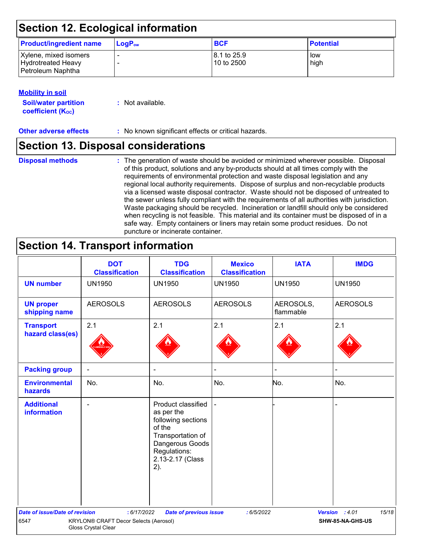### **Section 12. Ecological information**

| <b>Product/ingredient name</b>                                   | $LoaPow$                                             | <b>BCF</b>                            | <b>Potential</b> |
|------------------------------------------------------------------|------------------------------------------------------|---------------------------------------|------------------|
| Xylene, mixed isomers<br>Hydrotreated Heavy<br>Petroleum Naphtha | $\overline{\phantom{0}}$<br>$\overline{\phantom{0}}$ | $ 8.1 \text{ to } 25.9$<br>10 to 2500 | low<br>high      |

#### **Mobility in soil**

| <b>Soil/water partition</b> | : Not available. |
|-----------------------------|------------------|
| <b>coefficient (Koc)</b>    |                  |

**Other adverse effects** : No known significant effects or critical hazards.

### **Section 13. Disposal considerations**

#### **Disposal methods :**

The generation of waste should be avoided or minimized wherever possible. Disposal of this product, solutions and any by-products should at all times comply with the requirements of environmental protection and waste disposal legislation and any regional local authority requirements. Dispose of surplus and non-recyclable products via a licensed waste disposal contractor. Waste should not be disposed of untreated to the sewer unless fully compliant with the requirements of all authorities with jurisdiction. Waste packaging should be recycled. Incineration or landfill should only be considered when recycling is not feasible. This material and its container must be disposed of in a safe way. Empty containers or liners may retain some product residues. Do not puncture or incinerate container.

### **Section 14. Transport information**

|                                         | <b>DOT</b><br><b>Classification</b>                          | <b>TDG</b><br><b>Classification</b>                                                                                                                 | <b>Mexico</b><br><b>Classification</b> | <b>IATA</b>            | <b>IMDG</b>             |
|-----------------------------------------|--------------------------------------------------------------|-----------------------------------------------------------------------------------------------------------------------------------------------------|----------------------------------------|------------------------|-------------------------|
| <b>UN number</b>                        | <b>UN1950</b>                                                | <b>UN1950</b>                                                                                                                                       | <b>UN1950</b>                          | <b>UN1950</b>          | <b>UN1950</b>           |
| <b>UN proper</b><br>shipping name       | <b>AEROSOLS</b>                                              | <b>AEROSOLS</b>                                                                                                                                     | <b>AEROSOLS</b>                        | AEROSOLS,<br>flammable | <b>AEROSOLS</b>         |
| <b>Transport</b><br>hazard class(es)    | 2.1                                                          | 2.1                                                                                                                                                 | 2.1                                    | 2.1                    | 2.1                     |
| <b>Packing group</b>                    |                                                              | $\blacksquare$                                                                                                                                      |                                        |                        |                         |
| <b>Environmental</b><br>hazards         | No.                                                          | No.                                                                                                                                                 | No.                                    | No.                    | No.                     |
| <b>Additional</b><br><b>information</b> |                                                              | Product classified<br>as per the<br>following sections<br>of the<br>Transportation of<br>Dangerous Goods<br>Regulations:<br>2.13-2.17 (Class<br>2). |                                        |                        |                         |
| <b>Date of issue/Date of revision</b>   | : 6/17/2022                                                  | <b>Date of previous issue</b>                                                                                                                       | : 6/5/2022                             |                        | 15/18<br>Version : 4.01 |
| 6547                                    | KRYLON® CRAFT Decor Selects (Aerosol)<br>Gloss Crystal Clear |                                                                                                                                                     |                                        |                        | SHW-85-NA-GHS-US        |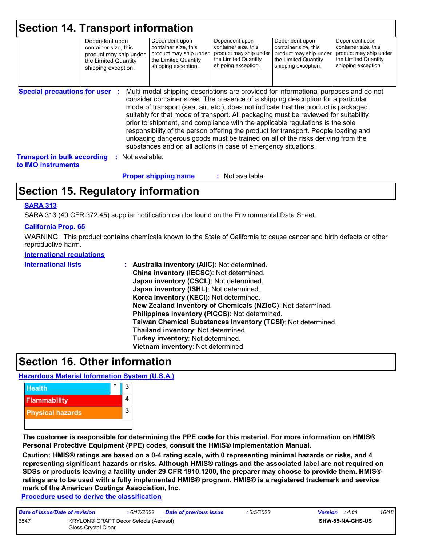|                                                          | Dependent upon<br>container size, this<br>product may ship under<br>the Limited Quantity<br>shipping exception. |                | Dependent upon<br>container size, this<br>product may ship under<br>the Limited Quantity<br>shipping exception.                                                                                                                                                                                                                                                                                                                                                                                                                                                                                                                                                                     | Dependent upon<br>container size, this<br>product may ship under<br>the Limited Quantity<br>shipping exception. | Dependent upon<br>container size, this<br>product may ship under<br>the Limited Quantity<br>shipping exception. | Dependent upon<br>container size, this<br>product may ship under<br>the Limited Quantity<br>shipping exception. |
|----------------------------------------------------------|-----------------------------------------------------------------------------------------------------------------|----------------|-------------------------------------------------------------------------------------------------------------------------------------------------------------------------------------------------------------------------------------------------------------------------------------------------------------------------------------------------------------------------------------------------------------------------------------------------------------------------------------------------------------------------------------------------------------------------------------------------------------------------------------------------------------------------------------|-----------------------------------------------------------------------------------------------------------------|-----------------------------------------------------------------------------------------------------------------|-----------------------------------------------------------------------------------------------------------------|
| <b>Special precautions for user :</b>                    |                                                                                                                 |                | Multi-modal shipping descriptions are provided for informational purposes and do not<br>consider container sizes. The presence of a shipping description for a particular<br>mode of transport (sea, air, etc.), does not indicate that the product is packaged<br>suitably for that mode of transport. All packaging must be reviewed for suitability<br>prior to shipment, and compliance with the applicable regulations is the sole<br>responsibility of the person offering the product for transport. People loading and<br>unloading dangerous goods must be trained on all of the risks deriving from the<br>substances and on all actions in case of emergency situations. |                                                                                                                 |                                                                                                                 |                                                                                                                 |
| <b>Transport in bulk according</b><br>to IMO instruments | ÷.                                                                                                              | Not available. |                                                                                                                                                                                                                                                                                                                                                                                                                                                                                                                                                                                                                                                                                     |                                                                                                                 |                                                                                                                 |                                                                                                                 |
|                                                          |                                                                                                                 |                | <b>Proper shipping name</b>                                                                                                                                                                                                                                                                                                                                                                                                                                                                                                                                                                                                                                                         | : Not available.                                                                                                |                                                                                                                 |                                                                                                                 |

### **Section 15. Regulatory information**

#### **SARA 313**

SARA 313 (40 CFR 372.45) supplier notification can be found on the Environmental Data Sheet.

#### **California Prop. 65**

WARNING: This product contains chemicals known to the State of California to cause cancer and birth defects or other reproductive harm.

#### **International regulations**

| <b>International lists</b> | : Australia inventory (AIIC): Not determined.<br>China inventory (IECSC): Not determined.<br>Japan inventory (CSCL): Not determined.<br>Japan inventory (ISHL): Not determined.<br>Korea inventory (KECI): Not determined.<br>New Zealand Inventory of Chemicals (NZIoC): Not determined.<br>Philippines inventory (PICCS): Not determined.<br>Taiwan Chemical Substances Inventory (TCSI): Not determined.<br>Thailand inventory: Not determined.<br>Turkey inventory: Not determined.<br>Vietnam inventory: Not determined. |
|----------------------------|-------------------------------------------------------------------------------------------------------------------------------------------------------------------------------------------------------------------------------------------------------------------------------------------------------------------------------------------------------------------------------------------------------------------------------------------------------------------------------------------------------------------------------|
|----------------------------|-------------------------------------------------------------------------------------------------------------------------------------------------------------------------------------------------------------------------------------------------------------------------------------------------------------------------------------------------------------------------------------------------------------------------------------------------------------------------------------------------------------------------------|

### **Section 16. Other information**

#### **Hazardous Material Information System (U.S.A.)**



**The customer is responsible for determining the PPE code for this material. For more information on HMIS® Personal Protective Equipment (PPE) codes, consult the HMIS® Implementation Manual.**

**Caution: HMIS® ratings are based on a 0-4 rating scale, with 0 representing minimal hazards or risks, and 4 representing significant hazards or risks. Although HMIS® ratings and the associated label are not required on SDSs or products leaving a facility under 29 CFR 1910.1200, the preparer may choose to provide them. HMIS® ratings are to be used with a fully implemented HMIS® program. HMIS® is a registered trademark and service mark of the American Coatings Association, Inc.**

**Procedure used to derive the classification**

| Date of issue/Date of revision |                                                              | : 6/17/2022 | <b>Date of previous issue</b> | : 6/5/2022 | <b>Version</b> : 4.01 |                         | 16/18 |
|--------------------------------|--------------------------------------------------------------|-------------|-------------------------------|------------|-----------------------|-------------------------|-------|
| 6547                           | KRYLON® CRAFT Decor Selects (Aerosol)<br>Gloss Crystal Clear |             |                               |            |                       | <b>SHW-85-NA-GHS-US</b> |       |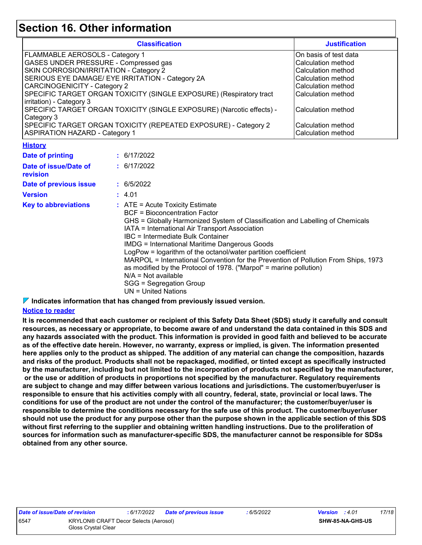### **Section 16. Other information**

|                                                                                                                                                                                                                                                                                                                                                                                                                                                                                                                                                                                                                                                    | <b>Classification</b>                                                 |                           |  |  |  |  |  |
|----------------------------------------------------------------------------------------------------------------------------------------------------------------------------------------------------------------------------------------------------------------------------------------------------------------------------------------------------------------------------------------------------------------------------------------------------------------------------------------------------------------------------------------------------------------------------------------------------------------------------------------------------|-----------------------------------------------------------------------|---------------------------|--|--|--|--|--|
| FLAMMABLE AEROSOLS - Category 1                                                                                                                                                                                                                                                                                                                                                                                                                                                                                                                                                                                                                    |                                                                       | On basis of test data     |  |  |  |  |  |
| GASES UNDER PRESSURE - Compressed gas                                                                                                                                                                                                                                                                                                                                                                                                                                                                                                                                                                                                              |                                                                       | Calculation method        |  |  |  |  |  |
| SKIN CORROSION/IRRITATION - Category 2                                                                                                                                                                                                                                                                                                                                                                                                                                                                                                                                                                                                             | Calculation method<br>Calculation method                              |                           |  |  |  |  |  |
|                                                                                                                                                                                                                                                                                                                                                                                                                                                                                                                                                                                                                                                    | SERIOUS EYE DAMAGE/ EYE IRRITATION - Category 2A                      |                           |  |  |  |  |  |
| <b>CARCINOGENICITY - Category 2</b>                                                                                                                                                                                                                                                                                                                                                                                                                                                                                                                                                                                                                |                                                                       | Calculation method        |  |  |  |  |  |
|                                                                                                                                                                                                                                                                                                                                                                                                                                                                                                                                                                                                                                                    | SPECIFIC TARGET ORGAN TOXICITY (SINGLE EXPOSURE) (Respiratory tract   | <b>Calculation method</b> |  |  |  |  |  |
| irritation) - Category 3                                                                                                                                                                                                                                                                                                                                                                                                                                                                                                                                                                                                                           |                                                                       |                           |  |  |  |  |  |
|                                                                                                                                                                                                                                                                                                                                                                                                                                                                                                                                                                                                                                                    | SPECIFIC TARGET ORGAN TOXICITY (SINGLE EXPOSURE) (Narcotic effects) - | Calculation method        |  |  |  |  |  |
| Category 3                                                                                                                                                                                                                                                                                                                                                                                                                                                                                                                                                                                                                                         |                                                                       |                           |  |  |  |  |  |
| SPECIFIC TARGET ORGAN TOXICITY (REPEATED EXPOSURE) - Category 2                                                                                                                                                                                                                                                                                                                                                                                                                                                                                                                                                                                    | Calculation method                                                    |                           |  |  |  |  |  |
| <b>ASPIRATION HAZARD - Category 1</b>                                                                                                                                                                                                                                                                                                                                                                                                                                                                                                                                                                                                              | Calculation method                                                    |                           |  |  |  |  |  |
| <b>History</b>                                                                                                                                                                                                                                                                                                                                                                                                                                                                                                                                                                                                                                     |                                                                       |                           |  |  |  |  |  |
| <b>Date of printing</b>                                                                                                                                                                                                                                                                                                                                                                                                                                                                                                                                                                                                                            | : 6/17/2022                                                           |                           |  |  |  |  |  |
| Date of issue/Date of                                                                                                                                                                                                                                                                                                                                                                                                                                                                                                                                                                                                                              | : 6/17/2022                                                           |                           |  |  |  |  |  |
| revision                                                                                                                                                                                                                                                                                                                                                                                                                                                                                                                                                                                                                                           |                                                                       |                           |  |  |  |  |  |
| Date of previous issue                                                                                                                                                                                                                                                                                                                                                                                                                                                                                                                                                                                                                             | : 6/5/2022                                                            |                           |  |  |  |  |  |
| <b>Version</b>                                                                                                                                                                                                                                                                                                                                                                                                                                                                                                                                                                                                                                     | : 4.01                                                                |                           |  |  |  |  |  |
| <b>Key to abbreviations</b><br>$:$ ATE = Acute Toxicity Estimate<br><b>BCF</b> = Bioconcentration Factor<br>GHS = Globally Harmonized System of Classification and Labelling of Chemicals<br>IATA = International Air Transport Association<br>IBC = Intermediate Bulk Container<br><b>IMDG = International Maritime Dangerous Goods</b><br>LogPow = logarithm of the octanol/water partition coefficient<br>MARPOL = International Convention for the Prevention of Pollution From Ships, 1973<br>as modified by the Protocol of 1978. ("Marpol" = marine pollution)<br>$N/A = Not available$<br>SGG = Segregation Group<br>$UN = United Nations$ |                                                                       |                           |  |  |  |  |  |

**Indicates information that has changed from previously issued version.**

#### **Notice to reader**

**It is recommended that each customer or recipient of this Safety Data Sheet (SDS) study it carefully and consult resources, as necessary or appropriate, to become aware of and understand the data contained in this SDS and any hazards associated with the product. This information is provided in good faith and believed to be accurate as of the effective date herein. However, no warranty, express or implied, is given. The information presented here applies only to the product as shipped. The addition of any material can change the composition, hazards and risks of the product. Products shall not be repackaged, modified, or tinted except as specifically instructed by the manufacturer, including but not limited to the incorporation of products not specified by the manufacturer, or the use or addition of products in proportions not specified by the manufacturer. Regulatory requirements are subject to change and may differ between various locations and jurisdictions. The customer/buyer/user is responsible to ensure that his activities comply with all country, federal, state, provincial or local laws. The conditions for use of the product are not under the control of the manufacturer; the customer/buyer/user is responsible to determine the conditions necessary for the safe use of this product. The customer/buyer/user should not use the product for any purpose other than the purpose shown in the applicable section of this SDS without first referring to the supplier and obtaining written handling instructions. Due to the proliferation of sources for information such as manufacturer-specific SDS, the manufacturer cannot be responsible for SDSs obtained from any other source.**